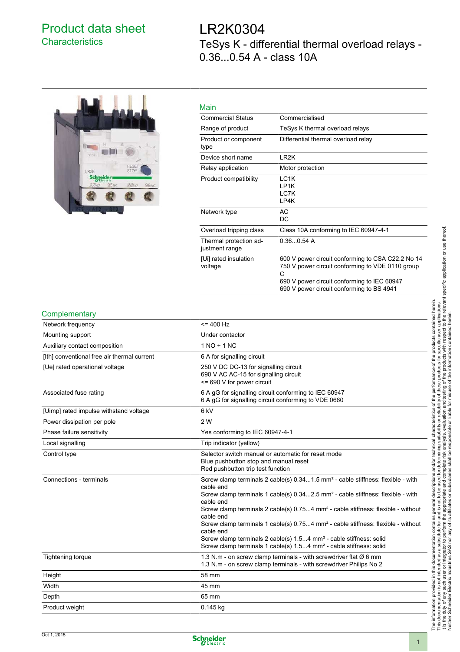## Product data sheet **Characteristics**

# LR2K0304 TeSys K - differential thermal overload relays - 0.36...0.54 A - class 10A



| Main                                     |                                                                                                                                                                                                        |
|------------------------------------------|--------------------------------------------------------------------------------------------------------------------------------------------------------------------------------------------------------|
| <b>Commercial Status</b>                 | Commercialised                                                                                                                                                                                         |
| Range of product                         | TeSys K thermal overload relays                                                                                                                                                                        |
| Product or component<br>type             | Differential thermal overload relay                                                                                                                                                                    |
| Device short name                        | LR <sub>2</sub> K                                                                                                                                                                                      |
| Relay application                        | Motor protection                                                                                                                                                                                       |
| Product compatibility                    | LC <sub>1</sub> K<br>I P1K<br>LC7K<br>LP4K                                                                                                                                                             |
| Network type                             | AC<br>DC                                                                                                                                                                                               |
| Overload tripping class                  | Class 10A conforming to IEC 60947-4-1                                                                                                                                                                  |
| Thermal protection ad-<br>justment range | 0.360.54A                                                                                                                                                                                              |
| [Ui] rated insulation<br>voltage         | 600 V power circuit conforming to CSA C22.2 No 14<br>750 V power circuit conforming to VDE 0110 group<br>С<br>690 V power circuit conforming to IEC 60947<br>690 V power circuit conforming to BS 4941 |

### **Complementary**

| oompionionary                               |                                                                                                                                                                                                                                                                                                                                                                                                                                                                                                                                                                                                                    |
|---------------------------------------------|--------------------------------------------------------------------------------------------------------------------------------------------------------------------------------------------------------------------------------------------------------------------------------------------------------------------------------------------------------------------------------------------------------------------------------------------------------------------------------------------------------------------------------------------------------------------------------------------------------------------|
| Network frequency                           | $= 400$ Hz                                                                                                                                                                                                                                                                                                                                                                                                                                                                                                                                                                                                         |
| Mounting support                            | Under contactor                                                                                                                                                                                                                                                                                                                                                                                                                                                                                                                                                                                                    |
| Auxiliary contact composition               | $1 NQ + 1 NC$                                                                                                                                                                                                                                                                                                                                                                                                                                                                                                                                                                                                      |
| [Ith] conventional free air thermal current | 6 A for signalling circuit                                                                                                                                                                                                                                                                                                                                                                                                                                                                                                                                                                                         |
| [Ue] rated operational voltage              | 250 V DC DC-13 for signalling circuit<br>690 V AC AC-15 for signalling circuit<br><= 690 V for power circuit                                                                                                                                                                                                                                                                                                                                                                                                                                                                                                       |
| Associated fuse rating                      | 6 A gG for signalling circuit conforming to IEC 60947<br>6 A gG for signalling circuit conforming to VDE 0660                                                                                                                                                                                                                                                                                                                                                                                                                                                                                                      |
| [Uimp] rated impulse withstand voltage      | 6 <sub>kV</sub>                                                                                                                                                                                                                                                                                                                                                                                                                                                                                                                                                                                                    |
| Power dissipation per pole                  | 2 W                                                                                                                                                                                                                                                                                                                                                                                                                                                                                                                                                                                                                |
| Phase failure sensitivity                   | Yes conforming to IEC 60947-4-1                                                                                                                                                                                                                                                                                                                                                                                                                                                                                                                                                                                    |
| Local signalling                            | Trip indicator (yellow)                                                                                                                                                                                                                                                                                                                                                                                                                                                                                                                                                                                            |
| Control type                                | Selector switch manual or automatic for reset mode<br>Blue pushbutton stop and manual reset<br>Red pushbutton trip test function                                                                                                                                                                                                                                                                                                                                                                                                                                                                                   |
| Connections - terminals                     | Screw clamp terminals 2 cable(s) 0.341.5 mm <sup>2</sup> - cable stiffness: flexible - with<br>cable end<br>Screw clamp terminals 1 cable(s) 0.342.5 mm <sup>2</sup> - cable stiffness: flexible - with<br>cable end<br>Screw clamp terminals 2 cable(s) 0.754 mm <sup>2</sup> - cable stiffness: flexible - without<br>cable end<br>Screw clamp terminals 1 cable(s) 0.754 mm <sup>2</sup> - cable stiffness: flexible - without<br>cable end<br>Screw clamp terminals 2 cable(s) 1.54 mm <sup>2</sup> - cable stiffness: solid<br>Screw clamp terminals 1 cable(s) 1.54 mm <sup>2</sup> - cable stiffness: solid |
| Tightening torque                           | 1.3 N.m - on screw clamp terminals - with screwdriver flat $\varnothing$ 6 mm<br>1.3 N.m - on screw clamp terminals - with screwdriver Philips No 2                                                                                                                                                                                                                                                                                                                                                                                                                                                                |
| Height                                      | 58 mm                                                                                                                                                                                                                                                                                                                                                                                                                                                                                                                                                                                                              |
| Width                                       | 45 mm                                                                                                                                                                                                                                                                                                                                                                                                                                                                                                                                                                                                              |
| Depth                                       | 65 mm                                                                                                                                                                                                                                                                                                                                                                                                                                                                                                                                                                                                              |
| Product weight                              | 0.145 kg                                                                                                                                                                                                                                                                                                                                                                                                                                                                                                                                                                                                           |